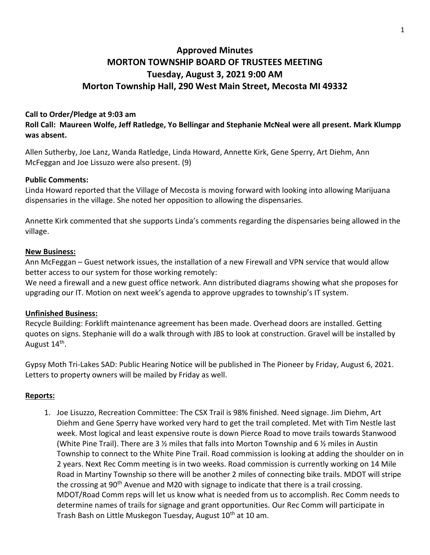# **Approved Minutes MORTON TOWNSHIP BOARD OF TRUSTEES MEETING Tuesday, August 3, 2021 9:00 AM Morton Township Hall, 290 West Main Street, Mecosta MI 49332**

### **Call to Order/Pledge at 9:03 am**

**Roll Call: Maureen Wolfe, Jeff Ratledge, Yo Bellingar and Stephanie McNeal were all present. Mark Klumpp was absent.**

Allen Sutherby, Joe Lanz, Wanda Ratledge, Linda Howard, Annette Kirk, Gene Sperry, Art Diehm, Ann McFeggan and Joe Lissuzo were also present. (9)

#### **Public Comments:**

Linda Howard reported that the Village of Mecosta is moving forward with looking into allowing Marijuana dispensaries in the village. She noted her opposition to allowing the dispensaries.

Annette Kirk commented that she supports Linda's comments regarding the dispensaries being allowed in the village.

#### **New Business:**

Ann McFeggan – Guest network issues, the installation of a new Firewall and VPN service that would allow better access to our system for those working remotely:

We need a firewall and a new guest office network. Ann distributed diagrams showing what she proposes for upgrading our IT. Motion on next week's agenda to approve upgrades to township's IT system.

#### **Unfinished Business:**

Recycle Building: Forklift maintenance agreement has been made. Overhead doors are installed. Getting quotes on signs. Stephanie will do a walk through with JBS to look at construction. Gravel will be installed by August 14<sup>th</sup>.

Gypsy Moth Tri-Lakes SAD: Public Hearing Notice will be published in The Pioneer by Friday, August 6, 2021. Letters to property owners will be mailed by Friday as well.

#### **Reports:**

1. Joe Lisuzzo, Recreation Committee: The CSX Trail is 98% finished. Need signage. Jim Diehm, Art Diehm and Gene Sperry have worked very hard to get the trail completed. Met with Tim Nestle last week. Most logical and least expensive route is down Pierce Road to move trails towards Stanwood (White Pine Trail). There are 3  $\frac{1}{2}$  miles that falls into Morton Township and 6  $\frac{1}{2}$  miles in Austin Township to connect to the White Pine Trail. Road commission is looking at adding the shoulder on in 2 years. Next Rec Comm meeting is in two weeks. Road commission is currently working on 14 Mile Road in Martiny Township so there will be another 2 miles of connecting bike trails. MDOT will stripe the crossing at 90<sup>th</sup> Avenue and M20 with signage to indicate that there is a trail crossing. MDOT/Road Comm reps will let us know what is needed from us to accomplish. Rec Comm needs to determine names of trails for signage and grant opportunities. Our Rec Comm will participate in Trash Bash on Little Muskegon Tuesday, August 10<sup>th</sup> at 10 am.